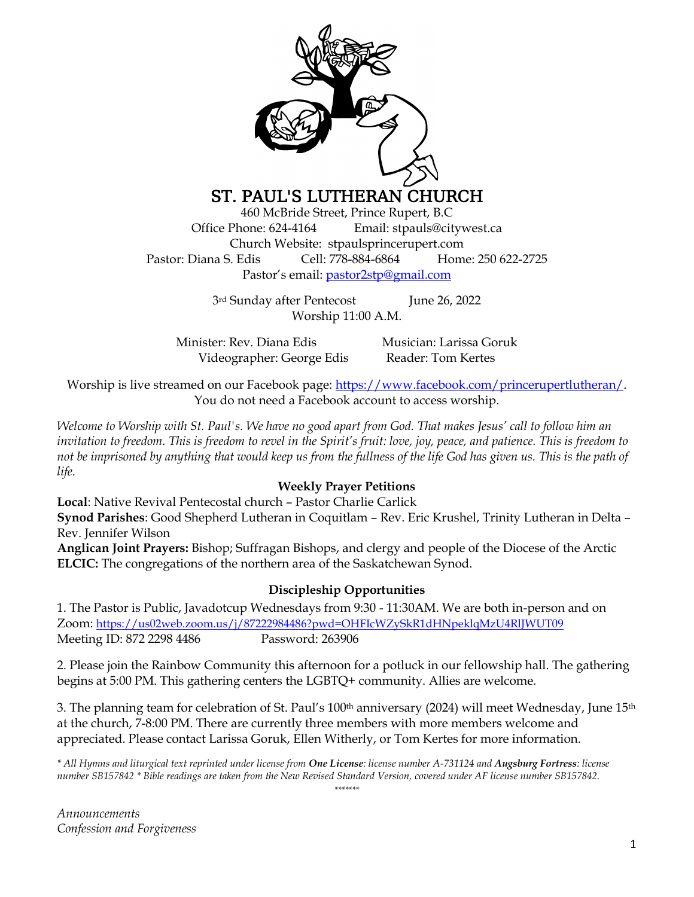

# ST. PAUL'S LUTHERAN CHURCH

460 McBride Street, Prince Rupert, B.C Office Phone: 624-4164 Email: stpauls@citywest.ca Church Website: stpaulsprincerupert.com Pastor: Diana S. Edis Cell: 778-884-6864 Home: 250 622-2725 Pastor's email: [pastor2stp@gmail.com](mailto:pastor2stp@gmail.com)

> 3rd Sunday after PentecostJune 26, 2022 Worship 11:00 A.M.

Minister: Rev. Diana Edis Musician: Larissa Goruk Videographer: George Edis Reader: Tom Kertes

Worship is live streamed on our Facebook page: [https://www.facebook.com/princerupertlutheran/.](https://www.facebook.com/princerupertlutheran/) You do not need a Facebook account to access worship.

*Welcome to Worship with St. Paul's. We have no good apart from God. That makes Jesus' call to follow him an invitation to freedom. This is freedom to revel in the Spirit's fruit: love, joy, peace, and patience. This is freedom to not be imprisoned by anything that would keep us from the fullness of the life God has given us. This is the path of life.*

# **Weekly Prayer Petitions**

**Local**: Native Revival Pentecostal church – Pastor Charlie Carlick **Synod Parishes**: Good Shepherd Lutheran in Coquitlam – Rev. Eric Krushel, Trinity Lutheran in Delta – Rev. Jennifer Wilson

**Anglican Joint Prayers:** Bishop; Suffragan Bishops, and clergy and people of the Diocese of the Arctic **ELCIC:** The congregations of the northern area of the Saskatchewan Synod.

### **Discipleship Opportunities**

1. The Pastor is Public, Javadotcup Wednesdays from 9:30 - 11:30AM. We are both in-person and on Zoom: <https://us02web.zoom.us/j/87222984486?pwd=OHFIcWZySkR1dHNpeklqMzU4RlJWUT09> Meeting ID: 872 2298 4486 Password: 263906

2. Please join the Rainbow Community this afternoon for a potluck in our fellowship hall. The gathering begins at 5:00 PM. This gathering centers the LGBTQ+ community. Allies are welcome.

3. The planning team for celebration of St. Paul's  $100th$  anniversary (2024) will meet Wednesday, June  $15th$ at the church, 7-8:00 PM. There are currently three members with more members welcome and appreciated. Please contact Larissa Goruk, Ellen Witherly, or Tom Kertes for more information.

*\* All Hymns and liturgical text reprinted under license from One License: license number A-731124 and Augsburg Fortress: license number SB157842 \* Bible readings are taken from the New Revised Standard Version, covered under AF license number SB157842. \*\*\*\*\*\*\**

*Announcements Confession and Forgiveness*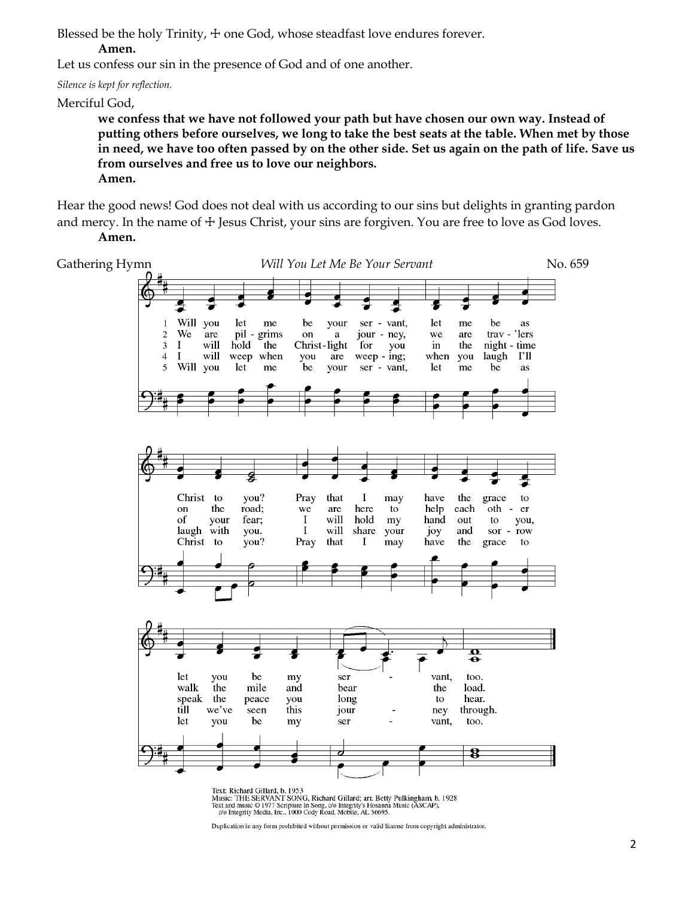Blessed be the holy Trinity,  $+$  one God, whose steadfast love endures forever.

### **Amen.**

Let us confess our sin in the presence of God and of one another.

*Silence is kept for reflection.*

Merciful God,

**we confess that we have not followed your path but have chosen our own way. Instead of putting others before ourselves, we long to take the best seats at the table. When met by those in need, we have too often passed by on the other side. Set us again on the path of life. Save us from ourselves and free us to love our neighbors. Amen.**

Hear the good news! God does not deal with us according to our sins but delights in granting pardon and mercy. In the name of  $\pm$  Jesus Christ, your sins are forgiven. You are free to love as God loves. **Amen.**



Duplication in any form prohibited without permission or valid license from copyright administrator.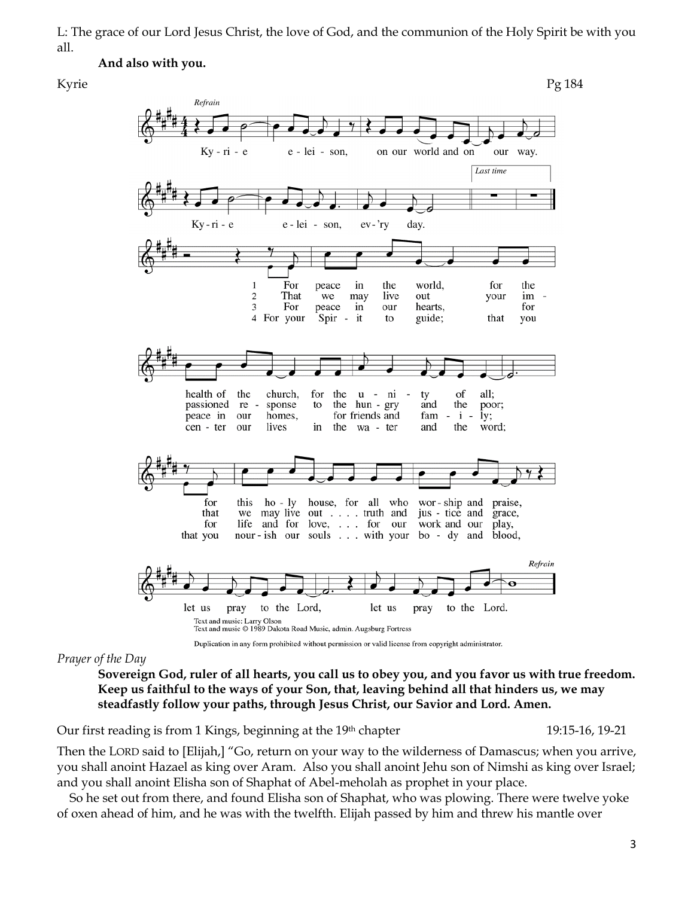L: The grace of our Lord Jesus Christ, the love of God, and the communion of the Holy Spirit be with you all.

#### **And also with you.**



### *Prayer of the Day*

**Sovereign God, ruler of all hearts, you call us to obey you, and you favor us with true freedom. Keep us faithful to the ways of your Son, that, leaving behind all that hinders us, we may steadfastly follow your paths, through Jesus Christ, our Savior and Lord. Amen.**

Our first reading is from 1 Kings, beginning at the 19<sup>th</sup> chapter 19:15-16, 19-21 19:15-16, 19-21

Then the LORD said to [Elijah,] "Go, return on your way to the wilderness of Damascus; when you arrive, you shall anoint Hazael as king over Aram. Also you shall anoint Jehu son of Nimshi as king over Israel; and you shall anoint Elisha son of Shaphat of Abel-meholah as prophet in your place.

So he set out from there, and found Elisha son of Shaphat, who was plowing. There were twelve yoke of oxen ahead of him, and he was with the twelfth. Elijah passed by him and threw his mantle over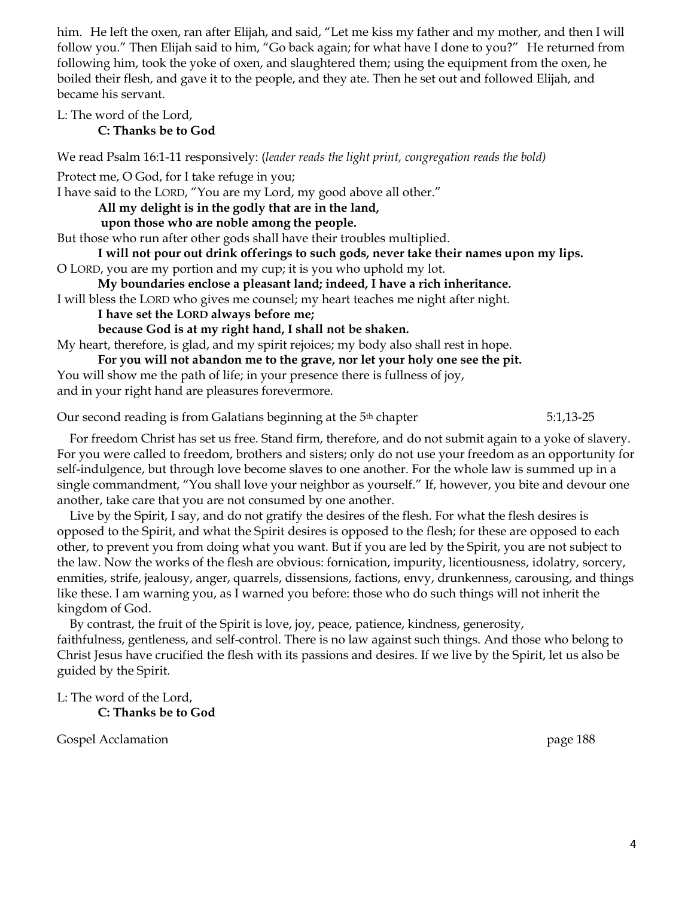him. He left the oxen, ran after Elijah, and said, "Let me kiss my father and my mother, and then I will follow you." Then Elijah said to him, "Go back again; for what have I done to you?" He returned from following him, took the yoke of oxen, and slaughtered them; using the equipment from the oxen, he boiled their flesh, and gave it to the people, and they ate. Then he set out and followed Elijah, and became his servant.

L: The word of the Lord,

**C: Thanks be to God**

We read Psalm 16:1-11 responsively: (*leader reads the light print, congregation reads the bold)*

Protect me, O God, for I take refuge in you; I have said to the LORD, "You are my Lord, my good above all other." **All my delight is in the godly that are in the land, upon those who are noble among the people.** But those who run after other gods shall have their troubles multiplied. **I will not pour out drink offerings to such gods, never take their names upon my lips.** O LORD, you are my portion and my cup; it is you who uphold my lot. **My boundaries enclose a pleasant land; indeed, I have a rich inheritance.** I will bless the LORD who gives me counsel; my heart teaches me night after night. **I have set the LORD always before me;**

**because God is at my right hand, I shall not be shaken.**

My heart, therefore, is glad, and my spirit rejoices; my body also shall rest in hope.

**For you will not abandon me to the grave, nor let your holy one see the pit.** You will show me the path of life; in your presence there is fullness of joy, and in your right hand are pleasures forevermore.

Our second reading is from Galatians beginning at the 5th chapter 5:1,13-25

For freedom Christ has set us free. Stand firm, therefore, and do not submit again to a yoke of slavery. For you were called to freedom, brothers and sisters; only do not use your freedom as an opportunity for self-indulgence, but through love become slaves to one another. For the whole law is summed up in a single commandment, "You shall love your neighbor as yourself." If, however, you bite and devour one another, take care that you are not consumed by one another.

Live by the Spirit, I say, and do not gratify the desires of the flesh. For what the flesh desires is opposed to the Spirit, and what the Spirit desires is opposed to the flesh; for these are opposed to each other, to prevent you from doing what you want. But if you are led by the Spirit, you are not subject to the law. Now the works of the flesh are obvious: fornication, impurity, licentiousness, idolatry, sorcery, enmities, strife, jealousy, anger, quarrels, dissensions, factions, envy, drunkenness, carousing, and things like these. I am warning you, as I warned you before: those who do such things will not inherit the kingdom of God.

By contrast, the fruit of the Spirit is love, joy, peace, patience, kindness, generosity, faithfulness, gentleness, and self-control. There is no law against such things. And those who belong to Christ Jesus have crucified the flesh with its passions and desires. If we live by the Spirit, let us also be guided by the Spirit.

L: The word of the Lord, **C: Thanks be to God**

Gospel Acclamation **page 188**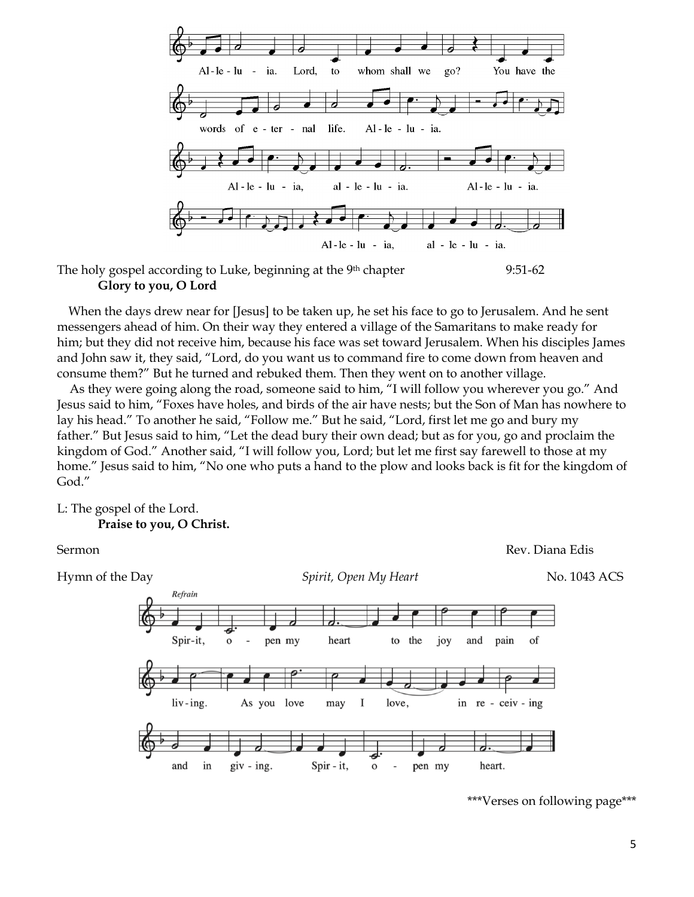

The holy gospel according to Luke, beginning at the  $9<sup>th</sup>$  chapter 9:51-62 **Glory to you, O Lord**

When the days drew near for [Jesus] to be taken up, he set his face to go to Jerusalem. And he sent messengers ahead of him. On their way they entered a village of the Samaritans to make ready for him; but they did not receive him, because his face was set toward Jerusalem. When his disciples James and John saw it, they said, "Lord, do you want us to command fire to come down from heaven and consume them?" But he turned and rebuked them. Then they went on to another village.

As they were going along the road, someone said to him, "I will follow you wherever you go." And Jesus said to him, "Foxes have holes, and birds of the air have nests; but the Son of Man has nowhere to lay his head." To another he said, "Follow me." But he said, "Lord, first let me go and bury my father." But Jesus said to him, "Let the dead bury their own dead; but as for you, go and proclaim the kingdom of God." Another said, "I will follow you, Lord; but let me first say farewell to those at my home." Jesus said to him, "No one who puts a hand to the plow and looks back is fit for the kingdom of God."

### L: The gospel of the Lord. **Praise to you, O Christ.**



<sup>\*\*\*</sup>Verses on following page\*\*\*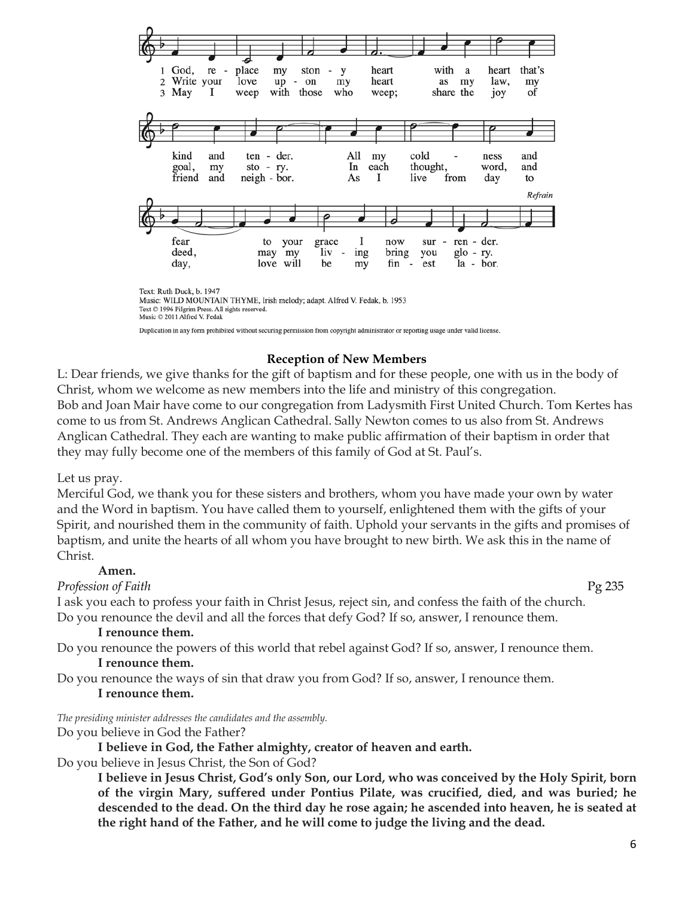

Text © 1996 Pilgrim Press. All rights reserved. Music © 2011 Alfred V. Fedak

Duplication in any form prohibited without securing permission from copyright administrator or reporting usage under valid license.

### **Reception of New Members**

L: Dear friends, we give thanks for the gift of baptism and for these people, one with us in the body of Christ, whom we welcome as new members into the life and ministry of this congregation. Bob and Joan Mair have come to our congregation from Ladysmith First United Church. Tom Kertes has come to us from St. Andrews Anglican Cathedral. Sally Newton comes to us also from St. Andrews Anglican Cathedral. They each are wanting to make public affirmation of their baptism in order that they may fully become one of the members of this family of God at St. Paul's.

#### Let us pray.

Merciful God, we thank you for these sisters and brothers, whom you have made your own by water and the Word in baptism. You have called them to yourself, enlightened them with the gifts of your Spirit, and nourished them in the community of faith. Uphold your servants in the gifts and promises of baptism, and unite the hearts of all whom you have brought to new birth. We ask this in the name of Christ.

#### **Amen.**

*Profession of Faith* Pg 235

I ask you each to profess your faith in Christ Jesus, reject sin, and confess the faith of the church. Do you renounce the devil and all the forces that defy God? If so, answer, I renounce them.

#### **I renounce them.**

Do you renounce the powers of this world that rebel against God? If so, answer, I renounce them.

# **I renounce them.**

Do you renounce the ways of sin that draw you from God? If so, answer, I renounce them.

### **I renounce them.**

*The presiding minister addresses the candidates and the assembly.*

Do you believe in God the Father?

**I believe in God, the Father almighty, creator of heaven and earth.**

Do you believe in Jesus Christ, the Son of God?

**I believe in Jesus Christ, God's only Son, our Lord, who was conceived by the Holy Spirit, born of the virgin Mary, suffered under Pontius Pilate, was crucified, died, and was buried; he descended to the dead. On the third day he rose again; he ascended into heaven, he is seated at the right hand of the Father, and he will come to judge the living and the dead.**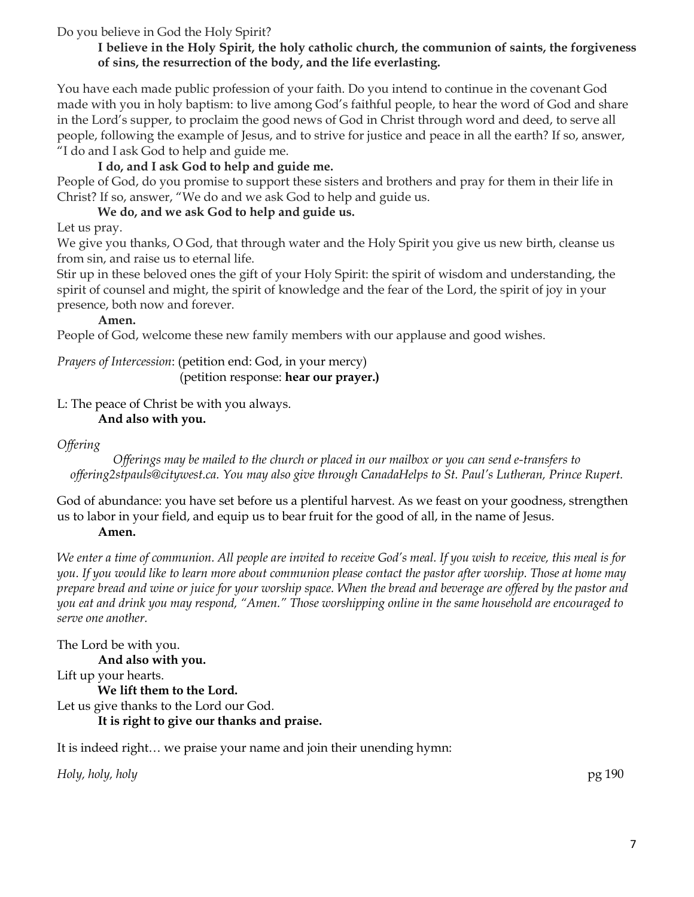Do you believe in God the Holy Spirit?

# **I believe in the Holy Spirit, the holy catholic church, the communion of saints, the forgiveness of sins, the resurrection of the body, and the life everlasting.**

You have each made public profession of your faith. Do you intend to continue in the covenant God made with you in holy baptism: to live among God's faithful people, to hear the word of God and share in the Lord's supper, to proclaim the good news of God in Christ through word and deed, to serve all people, following the example of Jesus, and to strive for justice and peace in all the earth? If so, answer, "I do and I ask God to help and guide me.

# **I do, and I ask God to help and guide me.**

People of God, do you promise to support these sisters and brothers and pray for them in their life in Christ? If so, answer, "We do and we ask God to help and guide us.

# **We do, and we ask God to help and guide us.**

Let us pray.

We give you thanks, O God, that through water and the Holy Spirit you give us new birth, cleanse us from sin, and raise us to eternal life.

Stir up in these beloved ones the gift of your Holy Spirit: the spirit of wisdom and understanding, the spirit of counsel and might, the spirit of knowledge and the fear of the Lord, the spirit of joy in your presence, both now and forever.

### **Amen.**

People of God, welcome these new family members with our applause and good wishes.

*Prayers of Intercession*: (petition end: God, in your mercy) (petition response: **hear our prayer.)**

# L: The peace of Christ be with you always.

### **And also with you.**

### *Offering*

*Offerings may be mailed to the church or placed in our mailbox or you can send e-transfers to offering2stpauls@citywest.ca. You may also give through CanadaHelps to St. Paul's Lutheran, Prince Rupert.*

God of abundance: you have set before us a plentiful harvest. As we feast on your goodness, strengthen us to labor in your field, and equip us to bear fruit for the good of all, in the name of Jesus.

### **Amen.**

*We enter a time of communion. All people are invited to receive God's meal. If you wish to receive, this meal is for you. If you would like to learn more about communion please contact the pastor after worship. Those at home may prepare bread and wine or juice for your worship space. When the bread and beverage are offered by the pastor and you eat and drink you may respond, "Amen." Those worshipping online in the same household are encouraged to serve one another.* 

The Lord be with you. **And also with you.** Lift up your hearts. **We lift them to the Lord.** Let us give thanks to the Lord our God. **It is right to give our thanks and praise.**

It is indeed right… we praise your name and join their unending hymn:

*Holy, holy, holy* pg 190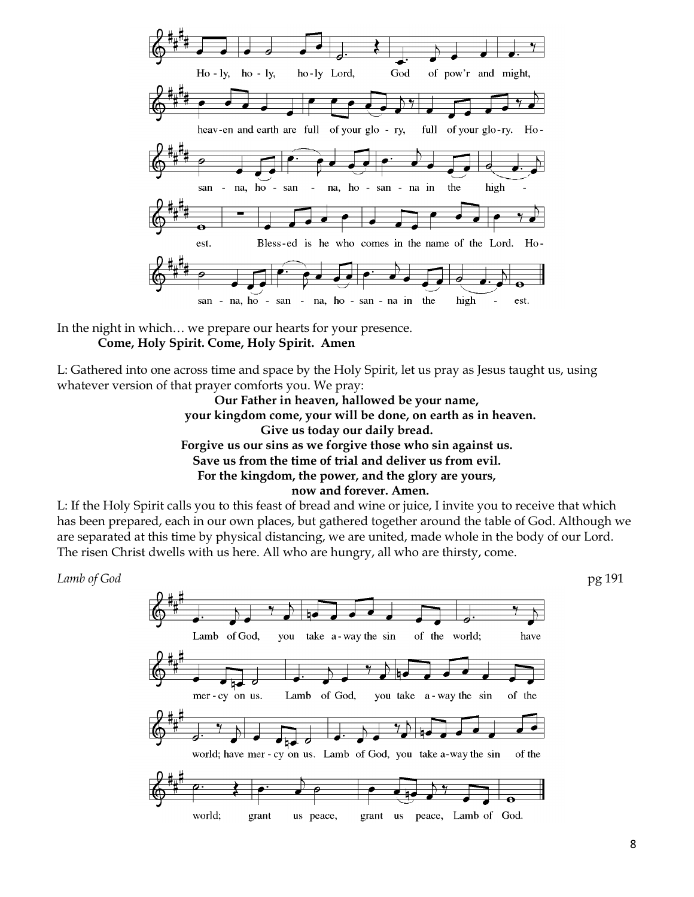

In the night in which… we prepare our hearts for your presence. **Come, Holy Spirit. Come, Holy Spirit. Amen**

L: Gathered into one across time and space by the Holy Spirit, let us pray as Jesus taught us, using whatever version of that prayer comforts you. We pray:

> **Our Father in heaven, hallowed be your name, your kingdom come, your will be done, on earth as in heaven. Give us today our daily bread. Forgive us our sins as we forgive those who sin against us. Save us from the time of trial and deliver us from evil. For the kingdom, the power, and the glory are yours, now and forever. Amen.**

L: If the Holy Spirit calls you to this feast of bread and wine or juice, I invite you to receive that which has been prepared, each in our own places, but gathered together around the table of God. Although we are separated at this time by physical distancing, we are united, made whole in the body of our Lord. The risen Christ dwells with us here. All who are hungry, all who are thirsty, come.